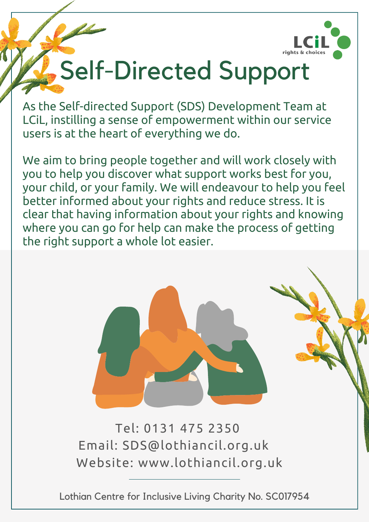

# Self-Directed Support

As the Self-directed Support (SDS) Development Team at LCiL, instilling a sense of empowerment within our service users is at the heart of everything we do.

We aim to bring people together and will work closely with you to help you discover what support works best for you, your child, or your family. We will endeavour to help you feel better informed about your rights and reduce stress. It is clear that having information about your rights and knowing where you can go for help can make the process of getting the right support a whole lot easier.



Tel: 0131 475 2350 Email: SDS@lothiancil.org.uk Website: www.lothiancil.org.uk

Lothian Centre for Inclusive Living Charity No. SC017954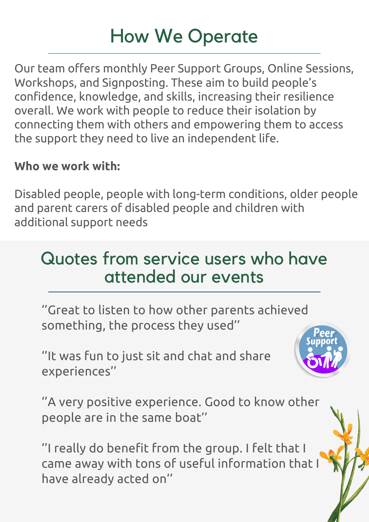# How We Operate

Our team offers monthly Peer Support Groups, Online Sessions, Workshops, and Signposting. These aim to build people's confidence, knowledge, and skills, increasing their resilience overall. We work with people to reduce their isolation by connecting them with others and empowering them to access the support they need to live an independent life.

#### **Who we work with:**

Disabled people, people with long-term conditions, older people and parent carers of disabled people and children with additional support needs

### Quotes from service users who have attended our events

''Great to listen to how other parents achieved something, the process they used''

''It was fun to just sit and chat and share experiences''



''A very positive experience. Good to know other people are in the same boat''

''I really do benefit from the group. I felt that I came away with tons of useful information that I have already acted on''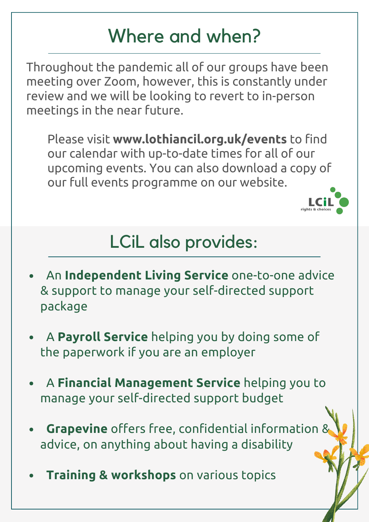# Where and when?

Throughout the pandemic all of our groups have been meeting over Zoom, however, this is constantly under review and we will be looking to revert to in-person meetings in the near future.

Please visit **www.lothiancil.org.uk/events** to find our calendar with up-to-date times for all of our upcoming events. You can also download a copy of our full events programme on our website.



# LCiL also provides:

- An **Independent Living Service** one-to-one advice & support to manage your self-directed support package
- A **Payroll Service** helping you by doing some of the paperwork if you are an employer
- A **Financial Management Service** helping you to manage your self-directed support budget
- **Grapevine** offers free, confidential information & advice, on anything about having a disability
- **Training & workshops** on various topics